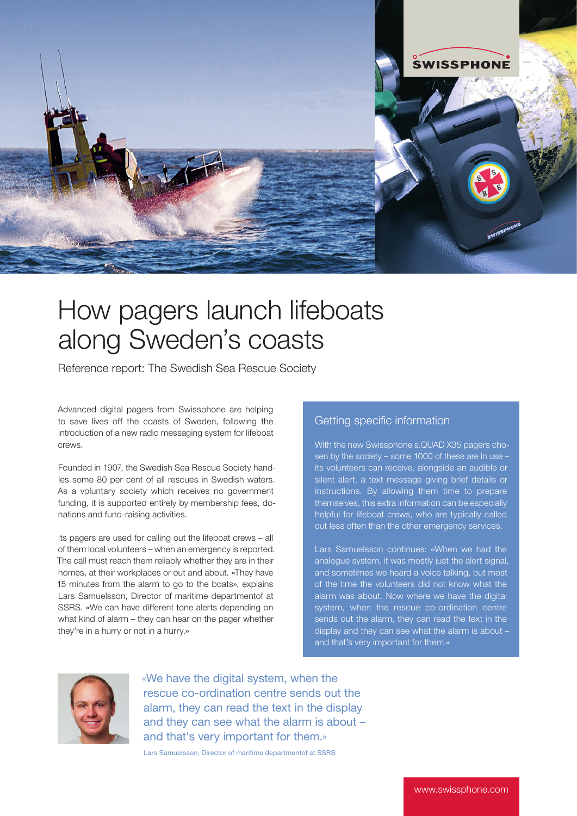

## How pagers launch lifeboats along Sweden's coasts

Reference report: The Swedish Sea Rescue Society

Advanced digital pagers from Swissphone are helping to save lives off the coasts of Sweden, following the introduction of a new radio messaging system for lifeboat Crews

Founded in 1907, the Swedish Sea Rescue Society handles some 80 per cent of all rescues in Swedish waters. As a voluntary society which receives no government funding, it is supported entirely by membership fees, donations and fund-raising activities.

Its pagers are used for calling out the lifeboat crews – all of them local volunteers – when an emergency is reported. The call must reach them reliably whether they are in their homes, at their workplaces or out and about. «They have 15 minutes from the alarm to go to the boats», explains Lars Samuelsson, Director of maritime departmentof at SSRS. «We can have different tone alerts depending on what kind of alarm – they can hear on the pager whether they're in a hurry or not in a hurry.»

## Getting specific information

With the new Swissphone s.QUAD X35 pagers chosen by the society – some 1000 of these are in use its volunteers can receive, alongside an audible or silent alert, a text message giving brief details or instructions. By allowing them time to prepare themselves, this extra information can be especially helpful for lifeboat crews, who are typically called out less often than the other emergency services.

Lars Samuelsson continues: «When we had the analogue system, it was mostly just the alert signal, and sometimes we heard a voice talking, but most of the time the volunteers did not know what the alarm was about. Now where we have the digital system, when the rescue co-ordination centre sends out the alarm, they can read the text in the display and they can see what the alarm is about – and that's very important for them.»



«We have the digital system, when the rescue co-ordination centre sends out the alarm, they can read the text in the display and they can see what the alarm is about – and that's very important for them.»

Lars Samuelsson, Director of maritime departmentof at SSRS